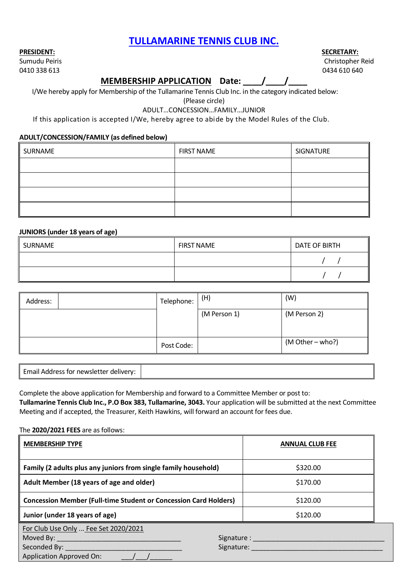## **TULLAMARINE TENNIS CLUB INC.**

#### **PRESIDENT: SECRETARY:**

0410 338 613 0434 610 640

# Sumudu Peiris Christopher Reid

### **MEMBERSHIP APPLICATION Date: \_\_\_\_/\_\_\_\_/\_\_\_\_**

I/We hereby apply for Membership of the Tullamarine Tennis Club Inc. in the category indicated below:

(Please circle)

#### ADULT…CONCESSION…FAMILY…JUNIOR

#### If this application is accepted I/We, hereby agree to abide by the Model Rules of the Club.

#### **ADULT/CONCESSION/FAMILY (as defined below)**

| SURNAME | <b>FIRST NAME</b> | SIGNATURE |  |  |
|---------|-------------------|-----------|--|--|
|         |                   |           |  |  |
|         |                   |           |  |  |
|         |                   |           |  |  |
|         |                   |           |  |  |

#### **JUNIORS (under 18 years of age)**

| SURNAME | <b>FIRST NAME</b> | DATE OF BIRTH |  |  |
|---------|-------------------|---------------|--|--|
|         |                   |               |  |  |
|         |                   |               |  |  |

| Address: | Telephone: | (H)          | (W)              |  |
|----------|------------|--------------|------------------|--|
|          |            | (M Person 1) | (M Person 2)     |  |
|          | Post Code: |              | (M Other – who?) |  |

| Email Address for newsletter delivery: |  |  |
|----------------------------------------|--|--|
|----------------------------------------|--|--|

Complete the above application for Membership and forward to a Committee Member or post to: **Tullamarine Tennis Club Inc., P.O Box 383, Tullamarine, 3043.** Your application will be submitted at the next Committee Meeting and if accepted, the Treasurer, Keith Hawkins, will forward an account for fees due.

#### The **2020/2021 FEES** are as follows:

| <b>MEMBERSHIP TYPE</b>                                                  | <b>ANNUAL CLUB FEE</b>                                                                                        |
|-------------------------------------------------------------------------|---------------------------------------------------------------------------------------------------------------|
| Family (2 adults plus any juniors from single family household)         | \$320.00                                                                                                      |
| Adult Member (18 years of age and older)                                | \$170.00                                                                                                      |
| <b>Concession Member (Full-time Student or Concession Card Holders)</b> | \$120.00                                                                                                      |
| Junior (under 18 years of age)                                          | \$120.00                                                                                                      |
| For Club Use Only  Fee Set 2020/2021<br><b>Application Approved On:</b> | Signature: and the state of the state of the state of the state of the state of the state of the state of the |